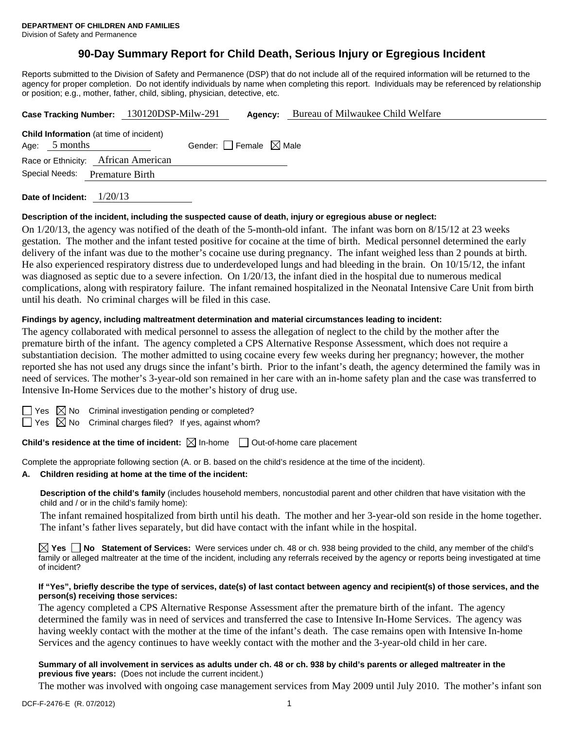# **90-Day Summary Report for Child Death, Serious Injury or Egregious Incident**

Reports submitted to the Division of Safety and Permanence (DSP) that do not include all of the required information will be returned to the agency for proper completion. Do not identify individuals by name when completing this report. Individuals may be referenced by relationship or position; e.g., mother, father, child, sibling, physician, detective, etc.

|                 | Case Tracking Number: 130120DSP-Milw-291       | Agency:                         | Bureau of Milwaukee Child Welfare |
|-----------------|------------------------------------------------|---------------------------------|-----------------------------------|
| Age: $5$ months | <b>Child Information</b> (at time of incident) | Gender: Female $\boxtimes$ Male |                                   |
|                 | Race or Ethnicity: African American            |                                 |                                   |
| Special Needs:  | <b>Premature Birth</b>                         |                                 |                                   |
|                 |                                                |                                 |                                   |

**Date of Incident:** 1/20/13

#### **Description of the incident, including the suspected cause of death, injury or egregious abuse or neglect:**

On 1/20/13, the agency was notified of the death of the 5-month-old infant. The infant was born on 8/15/12 at 23 weeks gestation. The mother and the infant tested positive for cocaine at the time of birth. Medical personnel determined the early delivery of the infant was due to the mother's cocaine use during pregnancy. The infant weighed less than 2 pounds at birth. He also experienced respiratory distress due to underdeveloped lungs and had bleeding in the brain. On 10/15/12, the infant was diagnosed as septic due to a severe infection. On 1/20/13, the infant died in the hospital due to numerous medical complications, along with respiratory failure. The infant remained hospitalized in the Neonatal Intensive Care Unit from birth until his death. No criminal charges will be filed in this case.

## **Findings by agency, including maltreatment determination and material circumstances leading to incident:**

The agency collaborated with medical personnel to assess the allegation of neglect to the child by the mother after the premature birth of the infant. The agency completed a CPS Alternative Response Assessment, which does not require a substantiation decision. The mother admitted to using cocaine every few weeks during her pregnancy; however, the mother reported she has not used any drugs since the infant's birth. Prior to the infant's death, the agency determined the family was in need of services. The mother's 3-year-old son remained in her care with an in-home safety plan and the case was transferred to Intensive In-Home Services due to the mother's history of drug use.

| M.<br>٧<br>۰, |
|---------------|
|               |

 $\boxtimes$  No Criminal investigation pending or completed?

 $\Box$  Yes  $\boxtimes$  No Criminal charges filed? If yes, against whom?

**Child's residence at the time of incident:**  $\boxtimes$  In-home  $\Box$  Out-of-home care placement

Complete the appropriate following section (A. or B. based on the child's residence at the time of the incident).

## **A. Children residing at home at the time of the incident:**

**Description of the child's family** (includes household members, noncustodial parent and other children that have visitation with the child and / or in the child's family home):

 The infant remained hospitalized from birth until his death. The mother and her 3-year-old son reside in the home together. The infant's father lives separately, but did have contact with the infant while in the hospital.

**Yes No** Statement of Services: Were services under ch. 48 or ch. 938 being provided to the child, any member of the child's family or alleged maltreater at the time of the incident, including any referrals received by the agency or reports being investigated at time of incident?

#### **If "Yes", briefly describe the type of services, date(s) of last contact between agency and recipient(s) of those services, and the person(s) receiving those services:**

The agency completed a CPS Alternative Response Assessment after the premature birth of the infant. The agency determined the family was in need of services and transferred the case to Intensive In-Home Services. The agency was having weekly contact with the mother at the time of the infant's death. The case remains open with Intensive In-home Services and the agency continues to have weekly contact with the mother and the 3-year-old child in her care.

## **Summary of all involvement in services as adults under ch. 48 or ch. 938 by child's parents or alleged maltreater in the previous five years:** (Does not include the current incident.)

The mother was involved with ongoing case management services from May 2009 until July 2010. The mother's infant son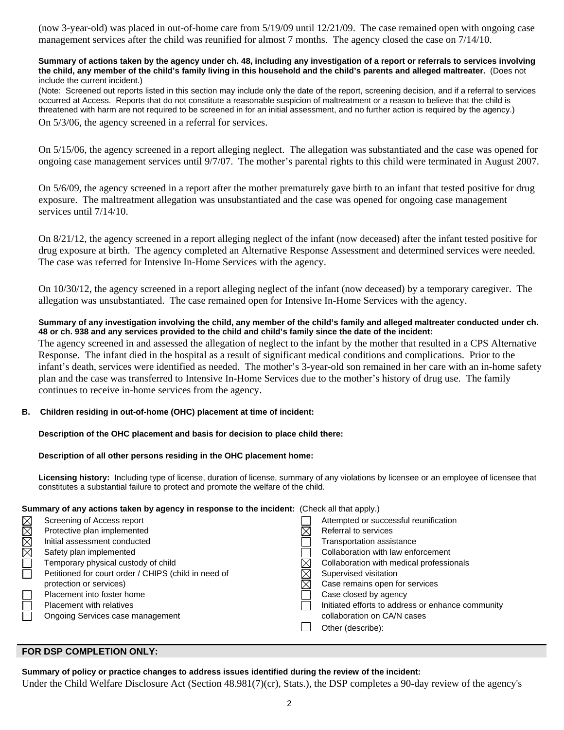(now 3-year-old) was placed in out-of-home care from 5/19/09 until 12/21/09. The case remained open with ongoing case management services after the child was reunified for almost 7 months. The agency closed the case on 7/14/10.

#### **Summary of actions taken by the agency under ch. 48, including any investigation of a report or referrals to services involving the child, any member of the child's family living in this household and the child's parents and alleged maltreater.** (Does not include the current incident.)

(Note: Screened out reports listed in this section may include only the date of the report, screening decision, and if a referral to services occurred at Access. Reports that do not constitute a reasonable suspicion of maltreatment or a reason to believe that the child is threatened with harm are not required to be screened in for an initial assessment, and no further action is required by the agency.) On 5/3/06, the agency screened in a referral for services.

On 5/15/06, the agency screened in a report alleging neglect. The allegation was substantiated and the case was opened for ongoing case management services until 9/7/07. The mother's parental rights to this child were terminated in August 2007.

On 5/6/09, the agency screened in a report after the mother prematurely gave birth to an infant that tested positive for drug exposure. The maltreatment allegation was unsubstantiated and the case was opened for ongoing case management services until 7/14/10.

On 8/21/12, the agency screened in a report alleging neglect of the infant (now deceased) after the infant tested positive for drug exposure at birth. The agency completed an Alternative Response Assessment and determined services were needed. The case was referred for Intensive In-Home Services with the agency.

On 10/30/12, the agency screened in a report alleging neglect of the infant (now deceased) by a temporary caregiver. The allegation was unsubstantiated. The case remained open for Intensive In-Home Services with the agency.

## **Summary of any investigation involving the child, any member of the child's family and alleged maltreater conducted under ch. 48 or ch. 938 and any services provided to the child and child's family since the date of the incident:**

The agency screened in and assessed the allegation of neglect to the infant by the mother that resulted in a CPS Alternative Response. The infant died in the hospital as a result of significant medical conditions and complications. Prior to the infant's death, services were identified as needed. The mother's 3-year-old son remained in her care with an in-home safety plan and the case was transferred to Intensive In-Home Services due to the mother's history of drug use. The family continues to receive in-home services from the agency.

## **B. Children residing in out-of-home (OHC) placement at time of incident:**

## **Description of the OHC placement and basis for decision to place child there:**

## **Description of all other persons residing in the OHC placement home:**

**Licensing history:** Including type of license, duration of license, summary of any violations by licensee or an employee of licensee that constitutes a substantial failure to protect and promote the welfare of the child.

## **Summary of any actions taken by agency in response to the incident:** (Check all that apply.)

|        | Screening of Access report                           |  | Attempted or successful reunification             |  |  |
|--------|------------------------------------------------------|--|---------------------------------------------------|--|--|
|        | Protective plan implemented                          |  | Referral to services                              |  |  |
| MMMM   | Initial assessment conducted                         |  | Transportation assistance                         |  |  |
|        | Safety plan implemented                              |  | Collaboration with law enforcement                |  |  |
| $\Box$ | Temporary physical custody of child                  |  | Collaboration with medical professionals          |  |  |
| $\Box$ | Petitioned for court order / CHIPS (child in need of |  | Supervised visitation                             |  |  |
|        | protection or services)                              |  | Case remains open for services                    |  |  |
|        | Placement into foster home                           |  | Case closed by agency                             |  |  |
|        | <b>Placement with relatives</b>                      |  | Initiated efforts to address or enhance community |  |  |
|        | Ongoing Services case management                     |  | collaboration on CA/N cases                       |  |  |
|        |                                                      |  | Other (describe):                                 |  |  |
|        |                                                      |  |                                                   |  |  |

## **FOR DSP COMPLETION ONLY:**

**Summary of policy or practice changes to address issues identified during the review of the incident:** 

Under the Child Welfare Disclosure Act (Section 48.981(7)(cr), Stats.), the DSP completes a 90-day review of the agency's